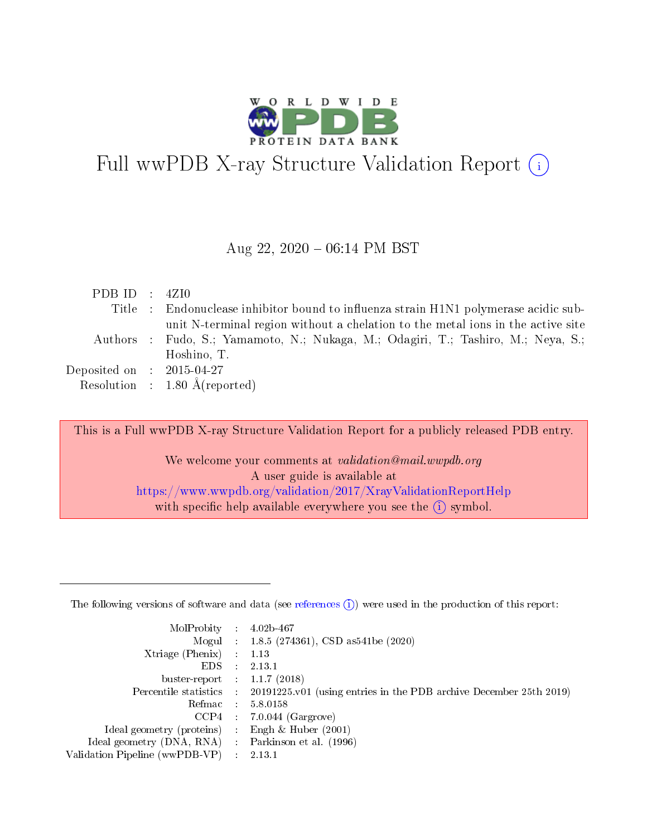

# Full wwPDB X-ray Structure Validation Report  $(i)$

### Aug 22,  $2020 - 06:14$  PM BST

| PDB ID : $4ZI0$                      |                                                                                      |
|--------------------------------------|--------------------------------------------------------------------------------------|
|                                      | Title : Endonuclease inhibitor bound to influenza strain H1N1 polymerase acidic sub- |
|                                      | unit N-terminal region without a chelation to the metal ions in the active site      |
|                                      | Authors : Fudo, S.; Yamamoto, N.; Nukaga, M.; Odagiri, T.; Tashiro, M.; Neya, S.;    |
|                                      | Hoshino, T.                                                                          |
| Deposited on $\therefore$ 2015-04-27 |                                                                                      |
|                                      | Resolution : $1.80 \text{ Å}$ (reported)                                             |

This is a Full wwPDB X-ray Structure Validation Report for a publicly released PDB entry.

We welcome your comments at validation@mail.wwpdb.org A user guide is available at <https://www.wwpdb.org/validation/2017/XrayValidationReportHelp> with specific help available everywhere you see the  $(i)$  symbol.

The following versions of software and data (see [references](https://www.wwpdb.org/validation/2017/XrayValidationReportHelp#references)  $(1)$ ) were used in the production of this report:

| MolProbity                     | $\mathcal{L}_{\mathcal{L}}$ | $4.02b - 467$                                                      |
|--------------------------------|-----------------------------|--------------------------------------------------------------------|
|                                |                             | Mogul : $1.8.5$ (274361), CSD as 541be (2020)                      |
| Xtriage (Phenix)               |                             | 1.13                                                               |
| EDS.                           |                             | 2.13.1                                                             |
| buster-report : $1.1.7(2018)$  |                             |                                                                    |
| Percentile statistics :        |                             | 20191225.v01 (using entries in the PDB archive December 25th 2019) |
| Refmac                         |                             | 5.8.0158                                                           |
| CCP4                           |                             | $7.0.044$ (Gargrove)                                               |
| Ideal geometry (proteins)      |                             | Engh $\&$ Huber (2001)                                             |
| Ideal geometry (DNA, RNA) :    |                             | Parkinson et al. (1996)                                            |
| Validation Pipeline (wwPDB-VP) |                             | 2.13.1                                                             |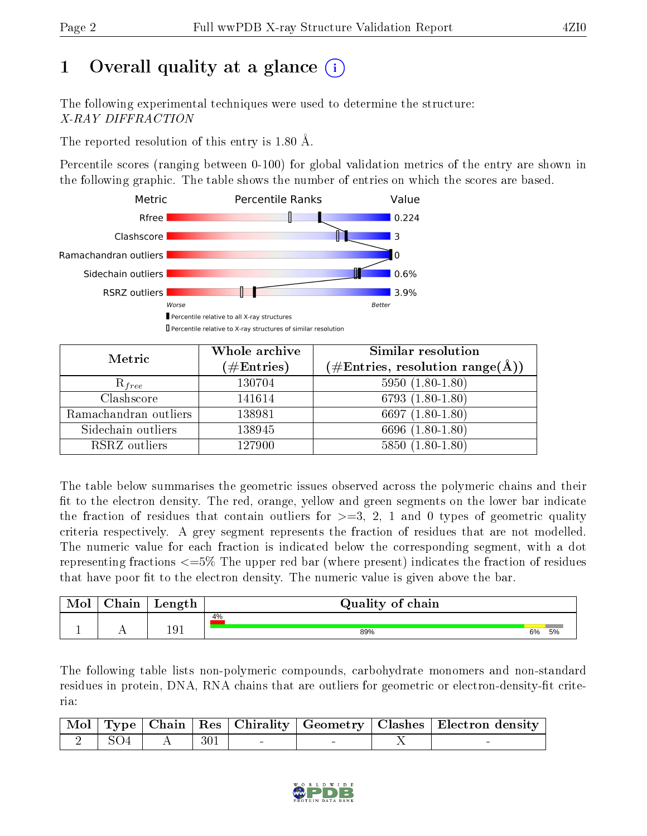# 1 [O](https://www.wwpdb.org/validation/2017/XrayValidationReportHelp#overall_quality)verall quality at a glance  $(i)$

The following experimental techniques were used to determine the structure: X-RAY DIFFRACTION

The reported resolution of this entry is 1.80 Å.

Percentile scores (ranging between 0-100) for global validation metrics of the entry are shown in the following graphic. The table shows the number of entries on which the scores are based.



| Metric                | Whole archive<br>$(\#\text{Entries})$ | Similar resolution<br>$(\#\text{Entries},\,\text{resolution}\,\,\text{range}(\textup{\AA}))$ |
|-----------------------|---------------------------------------|----------------------------------------------------------------------------------------------|
| $R_{free}$            | 130704                                | $5950(1.80-1.80)$                                                                            |
| Clashscore            | 141614                                | $6793(1.80-1.80)$                                                                            |
| Ramachandran outliers | 138981                                | 6697 $(1.80-1.80)$                                                                           |
| Sidechain outliers    | 138945                                | 6696 (1.80-1.80)                                                                             |
| RSRZ outliers         | 127900                                | $5850(1.80-1.80)$                                                                            |

The table below summarises the geometric issues observed across the polymeric chains and their fit to the electron density. The red, orange, yellow and green segments on the lower bar indicate the fraction of residues that contain outliers for  $>=3, 2, 1$  and 0 types of geometric quality criteria respectively. A grey segment represents the fraction of residues that are not modelled. The numeric value for each fraction is indicated below the corresponding segment, with a dot representing fractions <=5% The upper red bar (where present) indicates the fraction of residues that have poor fit to the electron density. The numeric value is given above the bar.

| Mol | $\alpha$ hain | Length | Quality of chain |    |    |
|-----|---------------|--------|------------------|----|----|
|     |               |        | 4%               |    |    |
|     | . .           | 191    | 89%              | 6% | 5% |

The following table lists non-polymeric compounds, carbohydrate monomers and non-standard residues in protein, DNA, RNA chains that are outliers for geometric or electron-density-fit criteria:

|                             |              |             |  | Mol   Type   Chain   Res   Chirality   Geometry   Clashes   Electron density |
|-----------------------------|--------------|-------------|--|------------------------------------------------------------------------------|
| $\hat{ }$ + SO4 + $\hat{ }$ | $\mathbf{A}$ | $\vert$ 301 |  |                                                                              |

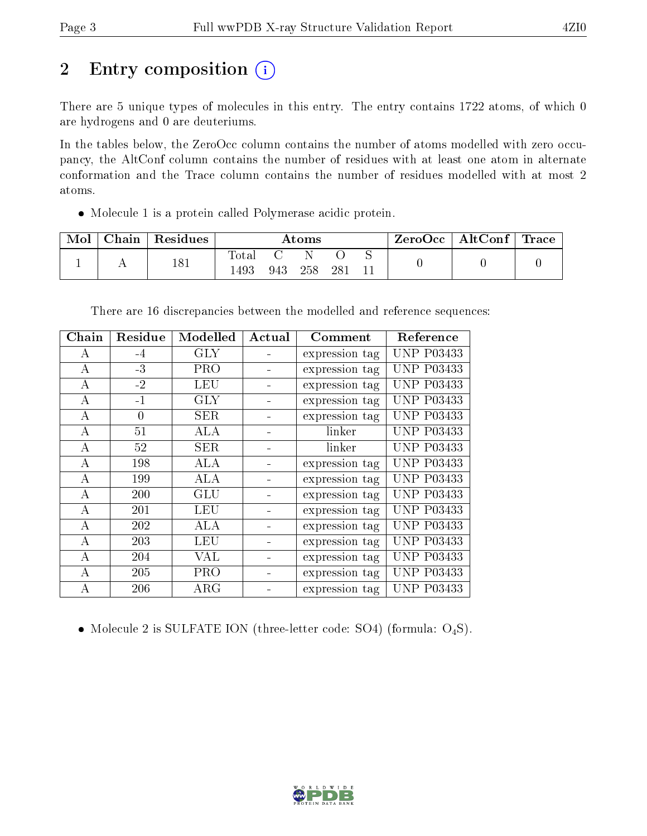# 2 Entry composition (i)

There are 5 unique types of molecules in this entry. The entry contains 1722 atoms, of which 0 are hydrogens and 0 are deuteriums.

In the tables below, the ZeroOcc column contains the number of atoms modelled with zero occupancy, the AltConf column contains the number of residues with at least one atom in alternate conformation and the Trace column contains the number of residues modelled with at most 2 atoms.

Molecule 1 is a protein called Polymerase acidic protein.

| Mol | $\operatorname{\mathsf{Chain}}$ | Residues |              |     | Atoms |      | $\rm{ZeroOcc}$   AltConf | $\perp$ Trace |
|-----|---------------------------------|----------|--------------|-----|-------|------|--------------------------|---------------|
|     |                                 | 181      | <b>Total</b> |     |       |      |                          |               |
|     |                                 |          | 1493         | 943 | 258   | -281 |                          |               |

| There are 16 discrepancies between the modelled and reference sequences: |  |  |  |  |
|--------------------------------------------------------------------------|--|--|--|--|
|                                                                          |  |  |  |  |

| Chain            | Residue  | Modelled   | Actual | Comment        | Reference         |
|------------------|----------|------------|--------|----------------|-------------------|
| А                | $-4$     | <b>GLY</b> |        | expression tag | <b>UNP P03433</b> |
| $\boldsymbol{A}$ | $-3$     | <b>PRO</b> |        | expression tag | <b>UNP P03433</b> |
| А                | $-2$     | LEU        |        | expression tag | <b>UNP P03433</b> |
| А                | $-1$     | <b>GLY</b> |        | expression tag | <b>UNP P03433</b> |
| А                | $\Omega$ | <b>SER</b> |        | expression tag | <b>UNP P03433</b> |
| А                | 51       | ALA        |        | linker         | <b>UNP P03433</b> |
| A                | 52       | <b>SER</b> |        | linker         | <b>UNP P03433</b> |
| A                | 198      | ALA        |        | expression tag | <b>UNP P03433</b> |
| А                | 199      | ALA        |        | expression tag | <b>UNP P03433</b> |
| А                | 200      | GLU        |        | expression tag | <b>UNP P03433</b> |
| А                | 201      | LEU        |        | expression tag | <b>UNP P03433</b> |
| $\boldsymbol{A}$ | 202      | ALA        |        | expression tag | <b>UNP P03433</b> |
| А                | 203      | LEU        |        | expression tag | <b>UNP P03433</b> |
| А                | 204      | VAL        |        | expression tag | <b>UNP P03433</b> |
| А                | 205      | <b>PRO</b> |        | expression tag | <b>UNP P03433</b> |
| А                | 206      | $\rm{ARG}$ |        | expression tag | <b>UNP P03433</b> |

• Molecule 2 is SULFATE ION (three-letter code: SO4) (formula:  $O_4S$ ).

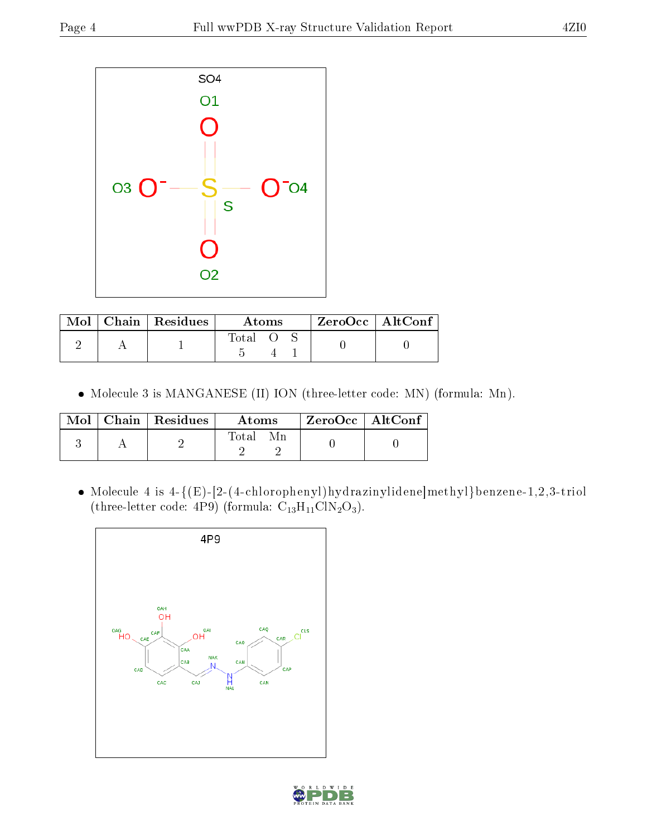

|  | $\text{Mol}$   Chain   Residues | Atoms |  |  | $ZeroOcc$   AltConf |  |
|--|---------------------------------|-------|--|--|---------------------|--|
|  |                                 | Total |  |  |                     |  |

Molecule 3 is MANGANESE (II) ION (three-letter code: MN) (formula: Mn).

| Mol | $\vert$ Chain $\vert$ Residues | Atoms | ZeroOcc   AltConf |  |
|-----|--------------------------------|-------|-------------------|--|
|     |                                | Total |                   |  |

 $\bullet$  Molecule 4 is 4-{(E)-[2-(4-chlorophenyl)hydrazinylidene]methyl}benzene-1,2,3-triol (three-letter code:  $4P9$ ) (formula:  $C_{13}H_{11}CIN_2O_3$ ).



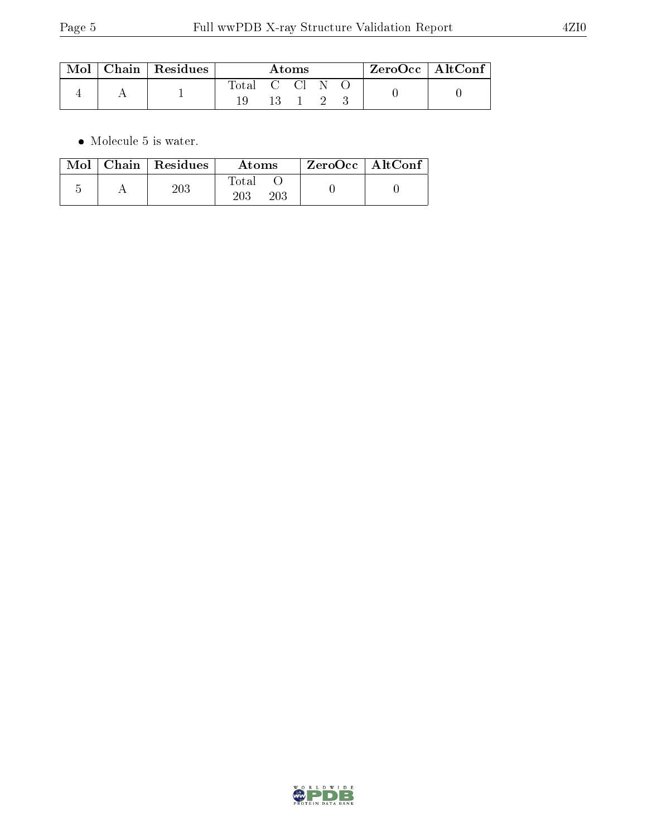| $\bf{Mol} \perp$ | Chain   Residues |                |         | Atoms |               | ' ZeroOcc   AltConf |  |
|------------------|------------------|----------------|---------|-------|---------------|---------------------|--|
|                  |                  | Total C Cl N O | $-13-1$ |       | $\rightarrow$ |                     |  |

 $\bullet\,$  Molecule 5 is water.

| Mol | Chain   Residues | Atoms        | $ZeroOcc$   AltConf |
|-----|------------------|--------------|---------------------|
|     | $203\,$          | Total<br>203 |                     |

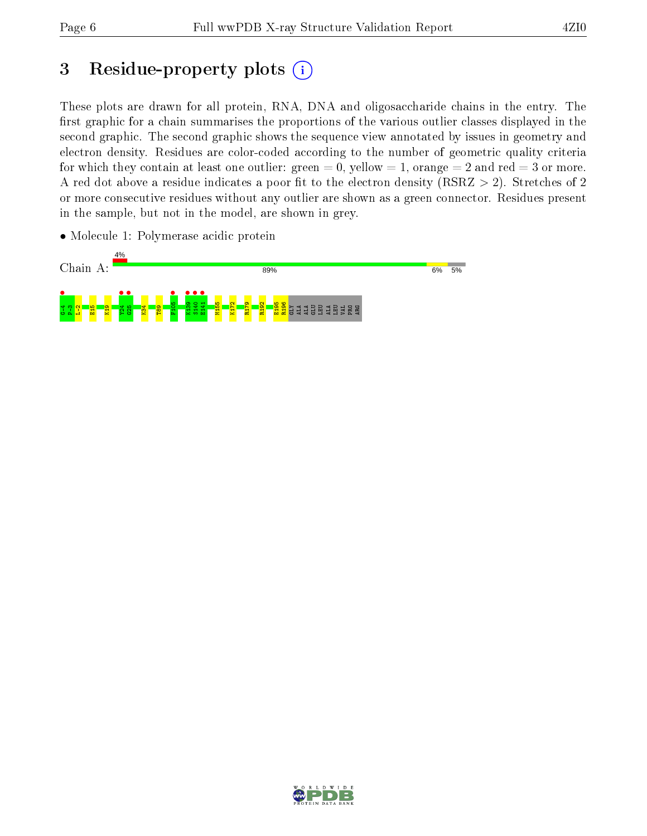# 3 Residue-property plots  $(i)$

These plots are drawn for all protein, RNA, DNA and oligosaccharide chains in the entry. The first graphic for a chain summarises the proportions of the various outlier classes displayed in the second graphic. The second graphic shows the sequence view annotated by issues in geometry and electron density. Residues are color-coded according to the number of geometric quality criteria for which they contain at least one outlier: green  $= 0$ , yellow  $= 1$ , orange  $= 2$  and red  $= 3$  or more. A red dot above a residue indicates a poor fit to the electron density ( $RSRZ > 2$ ). Stretches of 2 or more consecutive residues without any outlier are shown as a green connector. Residues present in the sample, but not in the model, are shown in grey.

• Molecule 1: Polymerase acidic protein



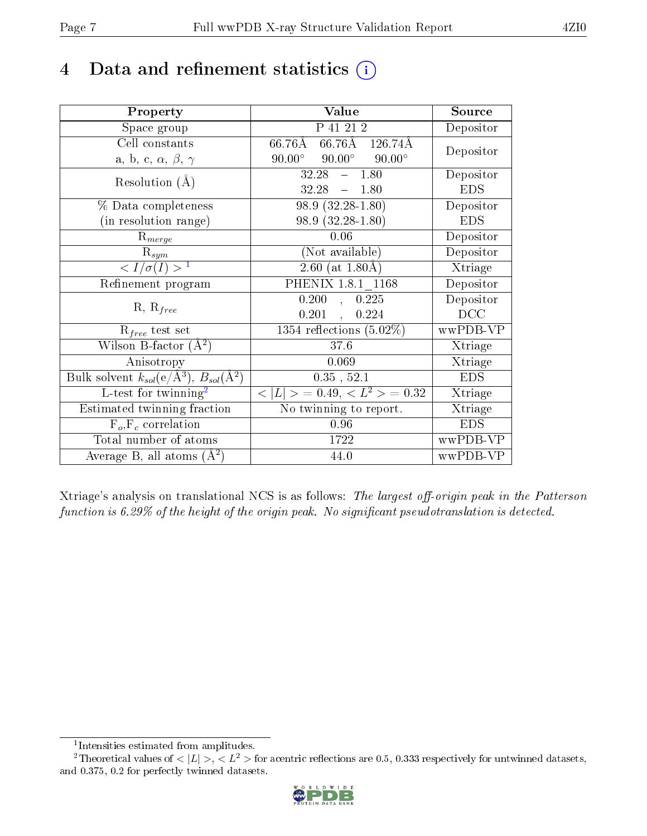# 4 Data and refinement statistics  $(i)$

| Property                                                             | Value                                                  | Source     |
|----------------------------------------------------------------------|--------------------------------------------------------|------------|
| Space group                                                          | $\overline{P}$ 41 21 2                                 | Depositor  |
| Cell constants                                                       | $66.76\text{\AA}$ $66.76\text{\AA}$ $126.74\text{\AA}$ | Depositor  |
| a, b, c, $\alpha$ , $\beta$ , $\gamma$                               | $90.00^{\circ}$ $90.00^{\circ}$<br>$90.00^\circ$       |            |
| Resolution $(A)$                                                     | 32.28<br>$-1.80$                                       | Depositor  |
|                                                                      | 32.28<br>$-1.80$                                       | <b>EDS</b> |
| % Data completeness                                                  | $98.9(32.28-1.80)$                                     | Depositor  |
| (in resolution range)                                                | $98.9(32.28-1.80)$                                     | <b>EDS</b> |
| $\mathrm{R}_{merge}$                                                 | 0.06                                                   | Depositor  |
| $\mathrm{R}_{sym}$                                                   | (Not available)                                        | Depositor  |
| $\sqrt{I/\sigma(I)} > 1$                                             | $\sqrt{2.60 \text{ (at } 1.80 \text{\AA})}$            | Xtriage    |
| Refinement program                                                   | PHENIX 1.8.1 1168                                      | Depositor  |
|                                                                      | 0.200<br>0.225<br>$\overline{\mathcal{A}}$             | Depositor  |
| $R, R_{free}$                                                        | 0.201<br>0.224<br>$\mathbf{r}$                         | DCC        |
| $\mathcal{R}_{free}$ test set                                        | 1354 reflections $(5.02\%)$                            | wwPDB-VP   |
| Wilson B-factor $(A^2)$                                              | 37.6                                                   | Xtriage    |
| Anisotropy                                                           | 0.069                                                  | Xtriage    |
| Bulk solvent $k_{sol}(e/\mathring{A}^3)$ , $B_{sol}(\mathring{A}^2)$ | $0.35$ , $52.1$                                        | <b>EDS</b> |
| L-test for $\overline{\text{twinning}}^2$                            | $< L >$ = 0.49, $< L^2 >$ = 0.32                       | Xtriage    |
| Estimated twinning fraction                                          | No twinning to report.                                 | Xtriage    |
| $F_o, F_c$ correlation                                               | 0.96                                                   | <b>EDS</b> |
| Total number of atoms                                                | 1722                                                   | wwPDB-VP   |
| Average B, all atoms $(A^2)$                                         | 44.0                                                   | wwPDB-VP   |

Xtriage's analysis on translational NCS is as follows: The largest off-origin peak in the Patterson function is  $6.29\%$  of the height of the origin peak. No significant pseudotranslation is detected.

<sup>&</sup>lt;sup>2</sup>Theoretical values of  $\langle |L| \rangle$ ,  $\langle L^2 \rangle$  for acentric reflections are 0.5, 0.333 respectively for untwinned datasets, and 0.375, 0.2 for perfectly twinned datasets.



<span id="page-6-1"></span><span id="page-6-0"></span><sup>1</sup> Intensities estimated from amplitudes.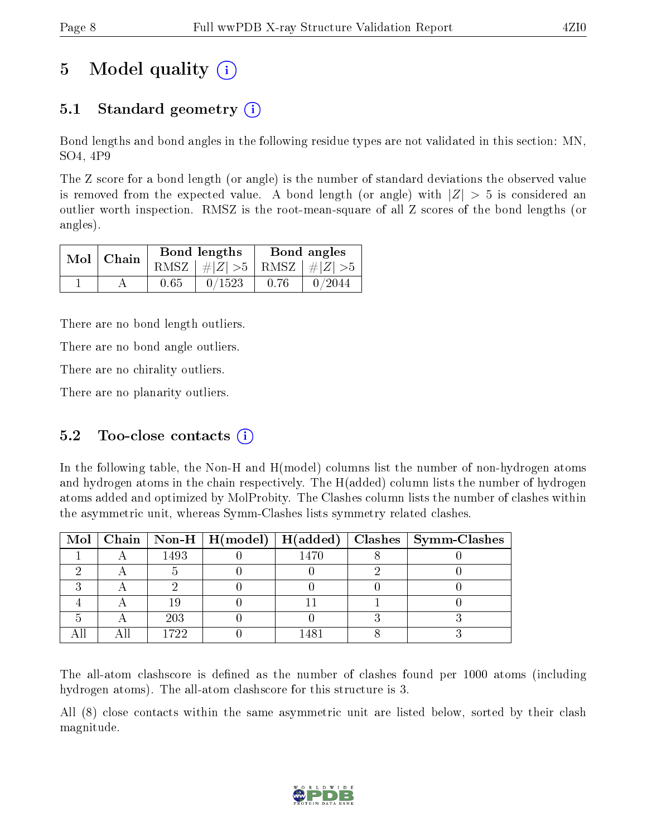# 5 Model quality  $(i)$

# 5.1 Standard geometry  $(i)$

Bond lengths and bond angles in the following residue types are not validated in this section: MN, SO4, 4P9

The Z score for a bond length (or angle) is the number of standard deviations the observed value is removed from the expected value. A bond length (or angle) with  $|Z| > 5$  is considered an outlier worth inspection. RMSZ is the root-mean-square of all Z scores of the bond lengths (or angles).

|  | $Mol$   Chain |      | Bond lengths                    |      | Bond angles |
|--|---------------|------|---------------------------------|------|-------------|
|  |               |      | RMSZ $ #Z  > 5$ RMSZ $ #Z  > 5$ |      |             |
|  |               | 0.65 | 0/1523                          | 0.76 | 0/2044      |

There are no bond length outliers.

There are no bond angle outliers.

There are no chirality outliers.

There are no planarity outliers.

### 5.2 Too-close contacts  $(i)$

In the following table, the Non-H and H(model) columns list the number of non-hydrogen atoms and hydrogen atoms in the chain respectively. The H(added) column lists the number of hydrogen atoms added and optimized by MolProbity. The Clashes column lists the number of clashes within the asymmetric unit, whereas Symm-Clashes lists symmetry related clashes.

|  |      |      | Mol   Chain   Non-H   H(model)   H(added)   Clashes   Symm-Clashes |
|--|------|------|--------------------------------------------------------------------|
|  | 1493 | 1470 |                                                                    |
|  |      |      |                                                                    |
|  |      |      |                                                                    |
|  |      |      |                                                                    |
|  | 203  |      |                                                                    |
|  | 1799 |      |                                                                    |

The all-atom clashscore is defined as the number of clashes found per 1000 atoms (including hydrogen atoms). The all-atom clashscore for this structure is 3.

All (8) close contacts within the same asymmetric unit are listed below, sorted by their clash magnitude.

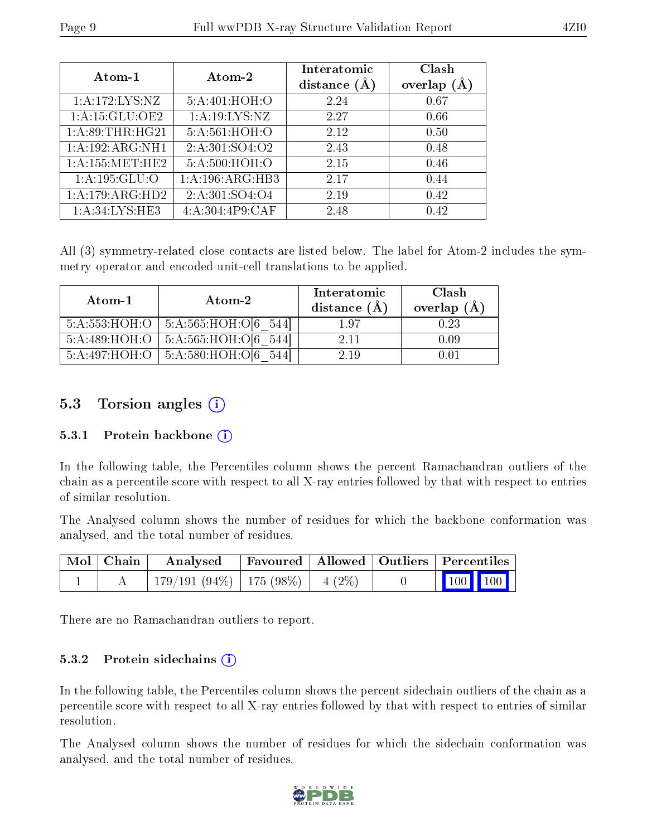| Atom-1              | Atom-2                       | Interatomic<br>distance $(\AA)$ | Clash<br>overlap $(A)$ |
|---------------------|------------------------------|---------------------------------|------------------------|
| 1: A:172: LYS: NZ   | 5:A:401:HOH:O                | 2.24                            | 0.67                   |
| 1: A:15: GLU:OE2    | 1: A: 19: LYS: NZ            | 2.27                            | 0.66                   |
| 1: A:89:THR:HG21    | 5:A:561:HOH:O                | 2.12                            | 0.50                   |
| 1: A: 192: ARG: NH1 | 2:A:301:SO4:O2               | 2.43                            | 0.48                   |
| $1:$ A:155:MET:HE2  | 5:A:500:HOH:O                | 2.15                            | 0.46                   |
| 1: A: 195: GLU: O   | $1:\overline{A}:196:ARG:HB3$ | 2.17                            | 0.44                   |
| 1: A:179: ARG:HD2   | 2: A: 301: SO4: O4           | 2.19                            | 0.42                   |
| 1:A:34:LYS:HE3      | 4: A:304:4P9:CAF             | 2.48                            | 0.42                   |

All (3) symmetry-related close contacts are listed below. The label for Atom-2 includes the symmetry operator and encoded unit-cell translations to be applied.

| Atom-1        | Atom-2                                   | Interatomic<br>distance $(\AA)$ | Clash<br>overlap $(A)$ |
|---------------|------------------------------------------|---------------------------------|------------------------|
| 5:A:553:HOH:O | 5:A:565:HOH:O[6 544]                     | 197                             | 0.23                   |
| 5:A:489:HOH:O | 5:A:565:HOH:O[6 544]                     | 2.11                            | 0.09                   |
|               | $5:A:497:HOH:O$   $5:A:580:HOH:O[6 544]$ | 2.19                            | 0 O1                   |

### 5.3 Torsion angles (i)

#### 5.3.1 Protein backbone (i)

In the following table, the Percentiles column shows the percent Ramachandran outliers of the chain as a percentile score with respect to all X-ray entries followed by that with respect to entries of similar resolution.

The Analysed column shows the number of residues for which the backbone conformation was analysed, and the total number of residues.

| Mol Chain | Analysed                             | Favoured   Allowed   Outliers   Percentiles |  |                                                                        |  |
|-----------|--------------------------------------|---------------------------------------------|--|------------------------------------------------------------------------|--|
|           | $179/191(94\%)$   175 (98%)   4 (2%) |                                             |  | $\begin{array}{ c c c }\n\hline\n\text{100} & \text{100}\n\end{array}$ |  |

There are no Ramachandran outliers to report.

#### 5.3.2 Protein sidechains (i)

In the following table, the Percentiles column shows the percent sidechain outliers of the chain as a percentile score with respect to all X-ray entries followed by that with respect to entries of similar resolution.

The Analysed column shows the number of residues for which the sidechain conformation was analysed, and the total number of residues.

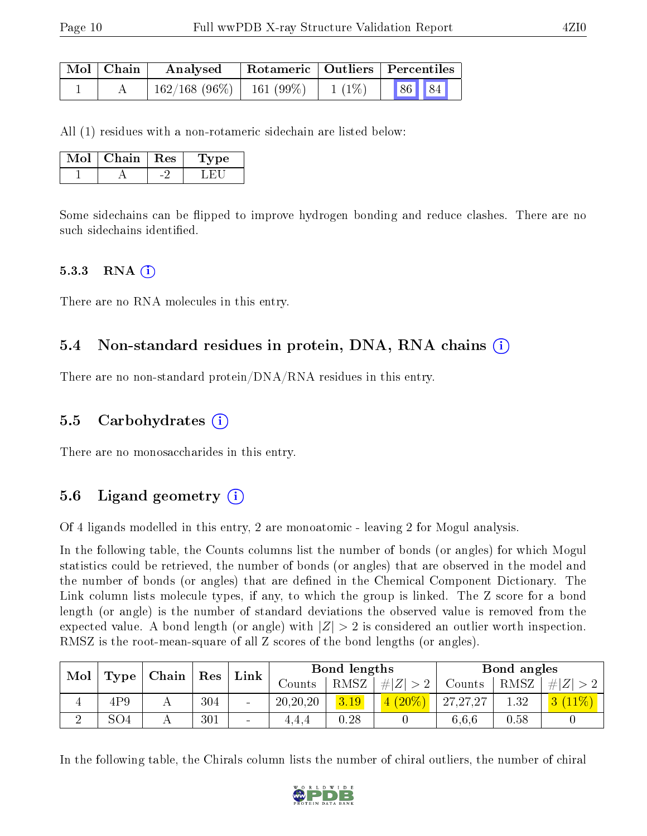| $\mid$ Mol $\mid$ Chain $\mid$ | Analysed                      |                     | $\mid$ Rotameric $\mid$ Outliers $\mid$ Percentiles $\mid$ |       |  |
|--------------------------------|-------------------------------|---------------------|------------------------------------------------------------|-------|--|
|                                | $162/168$ (96\%)   161 (99\%) | $\frac{1}{1}$ (1\%) |                                                            | 86 84 |  |

All (1) residues with a non-rotameric sidechain are listed below:

| Mol | Chain   Res | Type |  |
|-----|-------------|------|--|
|     |             |      |  |

Some sidechains can be flipped to improve hydrogen bonding and reduce clashes. There are no such sidechains identified.

#### $5.3.3$  RNA  $(i)$

There are no RNA molecules in this entry.

#### 5.4 Non-standard residues in protein, DNA, RNA chains (i)

There are no non-standard protein/DNA/RNA residues in this entry.

#### 5.5 Carbohydrates (i)

There are no monosaccharides in this entry.

### 5.6 Ligand geometry  $(i)$

Of 4 ligands modelled in this entry, 2 are monoatomic - leaving 2 for Mogul analysis.

In the following table, the Counts columns list the number of bonds (or angles) for which Mogul statistics could be retrieved, the number of bonds (or angles) that are observed in the model and the number of bonds (or angles) that are defined in the Chemical Component Dictionary. The Link column lists molecule types, if any, to which the group is linked. The Z score for a bond length (or angle) is the number of standard deviations the observed value is removed from the expected value. A bond length (or angle) with  $|Z| > 2$  is considered an outlier worth inspection. RMSZ is the root-mean-square of all Z scores of the bond lengths (or angles).

| Mol<br>Type | $^+$ Res<br>$\mid$ Chain $\mid$ |  |     |                 | Bond lengths |      |             | Bond angles |      |  |
|-------------|---------------------------------|--|-----|-----------------|--------------|------|-------------|-------------|------|--|
|             |                                 |  |     | Link            | Counts -     | RMSZ | . $\# Z $ . | Counts      | RMSZ |  |
| $\pm$       | 4P9                             |  | 304 | $\sim$          | 20, 20, 20   | 3.19 | $(20\%$     | 27,27,27    | 1.32 |  |
|             | SO <sub>4</sub>                 |  | 301 | $\qquad \qquad$ | 4.4.4        | 0.28 |             | 6.6.6       | 0.58 |  |

In the following table, the Chirals column lists the number of chiral outliers, the number of chiral

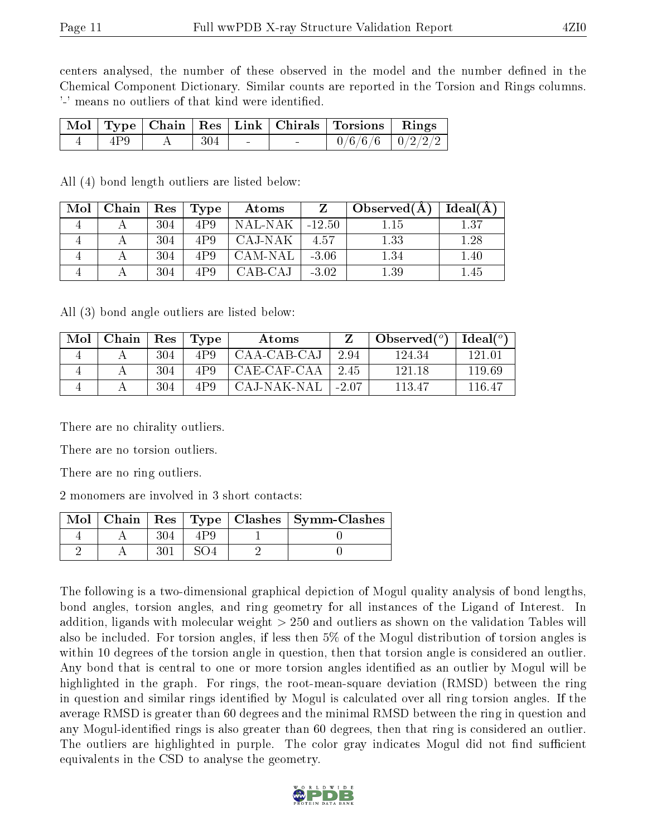centers analysed, the number of these observed in the model and the number defined in the Chemical Component Dictionary. Similar counts are reported in the Torsion and Rings columns. '-' means no outliers of that kind were identified.

|     |                          |        | Mol   Type   Chain   Res   Link   Chirals   Torsions   Rings |  |
|-----|--------------------------|--------|--------------------------------------------------------------|--|
| 4P9 | $\mathbf{A}$   304 $\pm$ | $\sim$ | $\boxed{0/6/6/6}$ $\boxed{0/2/2/2}$                          |  |

All (4) bond length outliers are listed below:

| Mol | Chain | Res | Type | Atoms     |          | Observed $(A)$ | Ideal(A) |
|-----|-------|-----|------|-----------|----------|----------------|----------|
|     |       | 304 | 4P.9 | -NAL-NAK- | $-12.50$ | 1.15           | 1.37     |
|     |       | 304 | 4P.9 | CAJ-NAK   | 4.57     | 1.33           | 1.28     |
|     |       | 304 | 4P.9 | CAM-NAL   | $-3.06$  | 1.34           | 1.40     |
|     |       | 304 | 4P9  | CAB-CAJ   | $-3.02$  | 1.39           | l.45     |

All (3) bond angle outliers are listed below:

| Mol | Chain | Res | 'Type | Atoms       |         | Observed $(°)$ | Ideal( $^o$ ) |
|-----|-------|-----|-------|-------------|---------|----------------|---------------|
|     |       | 304 | 4P9   | CAA-CAB-CAJ | 2.94    | 124.34         | 121 01        |
|     |       | 304 | 4P.9  | CAE-CAF-CAA | 2.45    | 121 18         | 119.69        |
|     |       | 304 | 4P.9  | CAJ-NAK-NAL | $-2.07$ | 113 47         | $-116.4^-$    |

There are no chirality outliers.

There are no torsion outliers.

There are no ring outliers.

2 monomers are involved in 3 short contacts:

| $\operatorname{Mol}$ $\vdash$ |  |  | Chain   Res   Type   Clashes   Symm-Clashes |
|-------------------------------|--|--|---------------------------------------------|
|                               |  |  |                                             |
|                               |  |  |                                             |

The following is a two-dimensional graphical depiction of Mogul quality analysis of bond lengths, bond angles, torsion angles, and ring geometry for all instances of the Ligand of Interest. In addition, ligands with molecular weight > 250 and outliers as shown on the validation Tables will also be included. For torsion angles, if less then 5% of the Mogul distribution of torsion angles is within 10 degrees of the torsion angle in question, then that torsion angle is considered an outlier. Any bond that is central to one or more torsion angles identified as an outlier by Mogul will be highlighted in the graph. For rings, the root-mean-square deviation (RMSD) between the ring in question and similar rings identified by Mogul is calculated over all ring torsion angles. If the average RMSD is greater than 60 degrees and the minimal RMSD between the ring in question and any Mogul-identified rings is also greater than 60 degrees, then that ring is considered an outlier. The outliers are highlighted in purple. The color gray indicates Mogul did not find sufficient equivalents in the CSD to analyse the geometry.

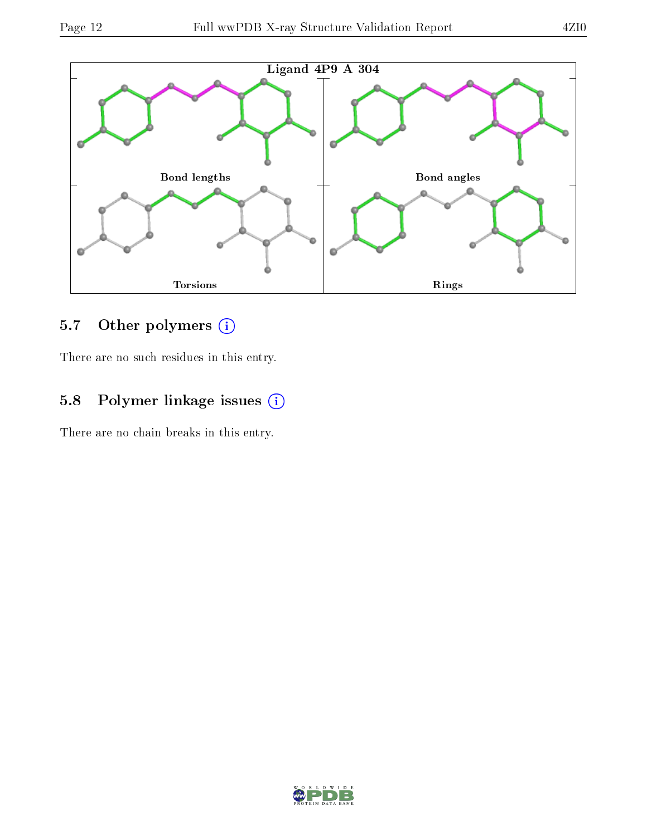

### 5.7 [O](https://www.wwpdb.org/validation/2017/XrayValidationReportHelp#nonstandard_residues_and_ligands)ther polymers (i)

There are no such residues in this entry.

# 5.8 Polymer linkage issues (i)

There are no chain breaks in this entry.

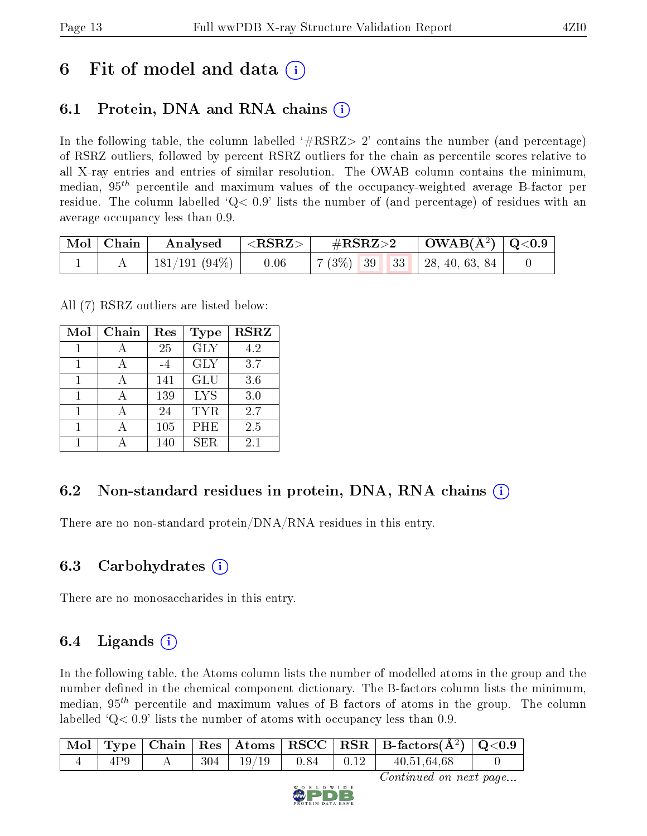# 6 Fit of model and data  $\left( \cdot \right)$

# 6.1 Protein, DNA and RNA chains (i)

In the following table, the column labelled  $#RSRZ>2'$  contains the number (and percentage) of RSRZ outliers, followed by percent RSRZ outliers for the chain as percentile scores relative to all X-ray entries and entries of similar resolution. The OWAB column contains the minimum, median,  $95<sup>th</sup>$  percentile and maximum values of the occupancy-weighted average B-factor per residue. The column labelled  $Q< 0.9$  lists the number of (and percentage) of residues with an average occupancy less than 0.9.

|  | $\mid$ Mol $\mid$ Chain $\mid$ Analysed $\mid$ <rsrz> <math>\mid</math></rsrz> |      |  |  |  |                                     |  |
|--|--------------------------------------------------------------------------------|------|--|--|--|-------------------------------------|--|
|  | $\vert$ 181/191 (94%) $\vert$ .                                                | 0.06 |  |  |  | $7(3\%)$   39   33   28, 40, 63, 84 |  |

All (7) RSRZ outliers are listed below:

| Mol | Chain | Res | Type       | <b>RSRZ</b> |
|-----|-------|-----|------------|-------------|
|     |       | 25  | <b>GLY</b> | 4.2         |
| 1   |       | -4  | <b>GLY</b> | 3.7         |
| 1   |       | 141 | <b>GLU</b> | 3.6         |
| 1   |       | 139 | <b>LYS</b> | 3.0         |
|     |       | 24  | TYR.       | 2.7         |
| 1   |       | 105 | PHE        | 2.5         |
|     |       | 140 | SER        | 2.1         |

### 6.2 Non-standard residues in protein, DNA, RNA chains  $(i)$

There are no non-standard protein/DNA/RNA residues in this entry.

### 6.3 Carbohydrates  $(i)$

There are no monosaccharides in this entry.

# 6.4 Ligands  $(i)$

In the following table, the Atoms column lists the number of modelled atoms in the group and the number defined in the chemical component dictionary. The B-factors column lists the minimum, median,  $95<sup>th</sup>$  percentile and maximum values of B factors of atoms in the group. The column labelled  $Q< 0.9$  lists the number of atoms with occupancy less than 0.9.

|     |  |                                   |  | $\mid$ Mol $\mid$ Type $\mid$ Chain $\mid$ Res $\mid$ Atoms $\mid$ RSCC $\mid$ RSR $\mid$ B-factors(Å <sup>2</sup> ) $\mid$ Q<0.9 $\mid$ |  |
|-----|--|-----------------------------------|--|------------------------------------------------------------------------------------------------------------------------------------------|--|
| 4P9 |  | $\vert$ 304   19/19   0.84   0.12 |  | 40,51,64,68                                                                                                                              |  |

Continued on next page...